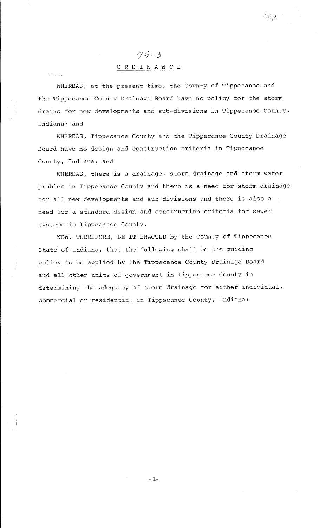# $79 - 3$ 0 R D I N A N C E

WHEREAS, at the present time, the County of Tippecanoe and the Tippecanoe County Drainage Board have no policy for the storm drains for new developments and sub-divisions in Tippecanoe County, Indiana; and

WHEREAS, Tippecanoe County and the Tippecanoe County Drainage Board have no design and construction criteria in Tippecanoe County, Indiana; and

WHEREAS, there is a drainage, storm drainage and storm water problem in Tippecanoe County and there is a need for storm drainage for all new developments and sub-divisions and there is also a need for a standard design and construction criteria for sewer systems in Tippecanoe County.

NOW, THEREFORE, BE IT ENACTED by the County of Tippecanoe State of Indiana, that the following shall be the guiding policy to be applied by the Tippecanoe County Drainage Board and all other units of government in Tippecanoe County in determining the adequacy of storm drainage for either individual, commercial or residential in Tippecanoe County, Indiana:

-1-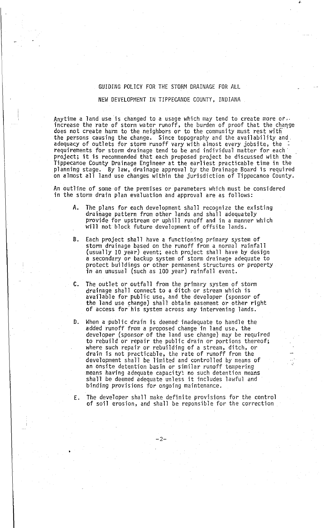## GUIDING POLICY FOR THE STORM DRAINAGE FOR ALL

## NEW DEVELOPMENT IN TIPPECANOE COUNTY, INDIANA

Anytime a land use is changed to a usage which may tend to create more or. increase the rate of storm water runoff, the burden of proof that the change does not create harm to the neighbors or to the community must rest with the persons causing the change. Since topography and the availability and. adequacy of outlets for storm runoff vary with almost every jobsite, the requirements for storm drainage tend to be and individual matter for each· project; it is recommended that each proposed project be discussed with the Tippecanoe County Drainage Engineer at the earliest practicable time in the planning stage. By law, drainage approval by the Drainage Board is required on almost all land use changes within the jurisdiction of Tippecanoe County.

An outline of some of the premises or parameters which must be considered in the storm drain plan evaluation and approval are as follows:

- A. The plans for each development shall recognize the existing<br>drainage pattern from other lands and shall adequately provide for upstream or uphill runoff and in a manner which will not block future development of offsite lands.
- B. Each project shall have a functioning primary system of storm drainage based on the runoff from a normal rainfall (usually 10 year) event; each project shall have by design a secondary or backup system of storm drainage adequate to protect buildings or other permanent structures or property in an unusual (such as 100 year) rainfall event.
- C. The outlet or outfall from the primary system of storm drainage shall connect to a ditch or stream which is available for public use, and the developer (sponsor of<br>the land use change) shall obtain easement or other right of access for his system across any intervening lands.
- D. When a public drain is deemed· inadequate to handle the added runoff from a proposed change in land use, the developer (sponsor of the land use change) may be required to rebuild or repair the public drain or portions thereof; where such repair or rebuilding of a stream, ditch, or drain is not practicable, the rate of runoff from the development shall be limited and controlled by means of an onsite detention basin or similar runoff tempering means having adequate capacity: no such detention means shall be deemed adequate unless it includes lawful and binding provisions for ongoing maintenance.
- E. The developer shall make definite provisions for the control of soil erosion, and shall be reponsible for the correction

-2-

•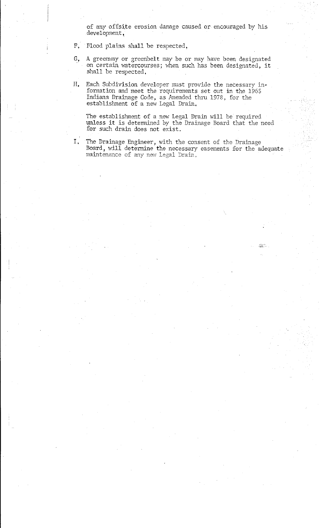of any offsite erosion damage caused or encouraged by his development,

F, Flood plains shall be respected,

- G, A greenway or greenbelt may be or may have been designated on certain watercourses; when such has been designated, it shall be respected,
- $H_{\bullet}$ Each Subdivision developer must provide the necessary information and meet the requirements set out in the 1965 Indiana Drainage Code, as Amended thru 1978, for the establishment of a new Legal Drain.

The establishment of a new Legal Drain will be required unless **it** is determined by the Drainage Board that the need for such drain does not exist.

I. The Drainage Engineer, with the consent of the Drainage Board, will determine the necessary easements for the adequate  $main$ tenance of any new Legal Drain.

·~t·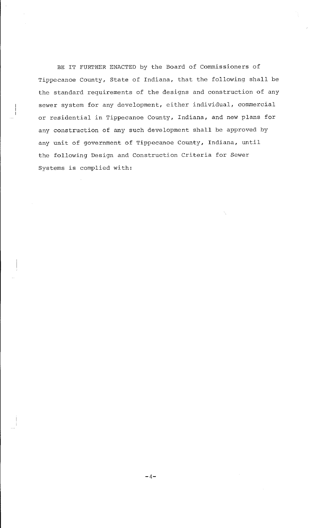BE IT FURTHER ENACTED by the Board of Commissioners of Tippecanoe County, State of Indiana, that the following shall be the standard requirements of the designs and construction of any sewer system for any development, either individual, commercial or residential in Tippecanoe County, Indiana, and new plans for any construction of any such development shall be approved by any unit of government of Tippecanoe County, Indiana, until the following Design and Construction Criteria for Sewer Systems is complied with: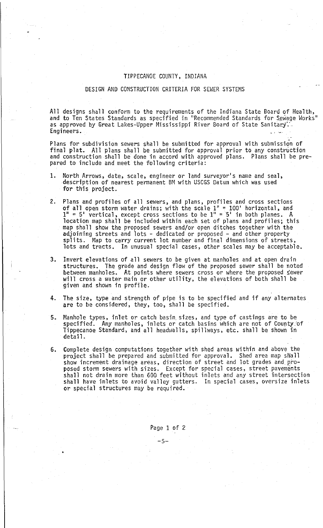#### TIPPECANOE COUNTY, INDIANA

#### DESIGN AND CONSTRUCTION CRITERIA FOR SEWER SYSTEMS

All designs shall conform to the requirements of the Indiana State Board of Health, and to Ten States Standards as specified in "Recommended Standards for Sewage Works" as approved by Great Lakes-Upper Mississippi River Board of State Sanitary. -Engineers.

Plans for subdivision sewers shall be submitted for approval with submission of final plat. All plans shall be submitted for approval prior to any construction and construction shall be done in accord with approved plans. Plans shall be prepared to include and meet the following criteria:

- 1. North Arrows, date, scale, engineer or land surveyor's name and seal, description of nearest permanent BM with USCGS Datum which was used for this project.
- 2. Plans and profiles of all sewers, and plans, profiles and cross sections of all open storm water drains; with the scale  $1'' = 100'$  horizontal, and  $1<sup>n</sup> = 5<sup>1</sup>$  vertical, except cross sections to be  $1<sup>n</sup> = 5<sup>1</sup>$  in both planes. A location map shall be included within each set of plans and profiles; this map shall show the proposed sewers and/or open ditches together with the adjoining streets and lots - dedicated or proposed - and other property splits. Map to carry current lot number and final dimensions of streets, lots and tracts. In unusual special cases, other scales may be acceptable.
- 3. Invert elevations of all sewers to be given at manholes and at open drain structures. The grade and design flow of the proposed sewer shall be noted between manholes. At points where sewers cross or where the proposed sewer will cross a water main or other utility, the elevations of both shall be given and shown in profile.
- 4. The size, type and strength of pipe is to be specified and if any alternates are to be considered, they, too, shall be specified.
- 5. Manhole types, inlet or catch basin. sizes, and type of castings are to be specified. Any manholes, inlets or catch basins which are not of County.'of Tippecanoe Standard, and all headwalls, spillways, etc. shall be shown in detail.
- Complete design computations together with shed areas within and above the project shall be prepared and submitted for approval. Shed area map snall show increment drainage areas, direction of street and lot grades and\_ proposed storm sewers with sizes. Except for special cases, street pavements shall not drain more than 600 feet without inlets and any street intersection shall have inlets to avoid valley gutters. In special cases, oversize inlets or special structures may be required.

Page 1 of 2

-5-

•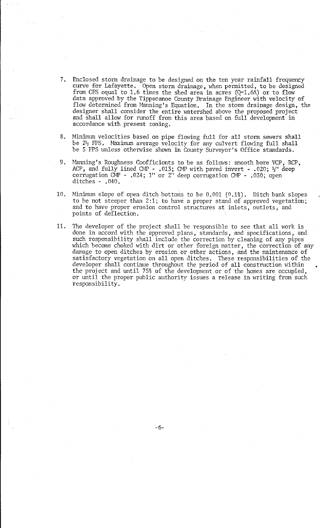- 7. Enclosed storm drainage to be designed on the ten year rainfall frequency curve for Lafayette. Open storm drainage, when permitted, to be designed from CFS equal to 1.6 times the shed area in acres  $(Q=1.6A)$  or to flow data approved by the Tippecanoe County Drainage Engineer with velocity of flow determined from Manning's Equation, In the storm drainage design, the designer shall consider the entire watershed above the proposed project and shall allow for runoff from this area based on full development in accordance with present zoning.
- 8, Minimum velocities based on pipe flowing full for all storm sewers shall be  $2\frac{1}{2}$  FPS. Maximum average velocity for any culvert flowing full shall be 5 FPS unless othenvise shown in County Surveyor's Office standards.
- 9. Manning's Roughness Coofficionts to be as follows: smooth bore VCP, RCP, ACP, and fully lined CMP - .013; CMP with paved invert - .020;  $\frac{1}{2}$  deep corrugation CMP - .024; 1" or 2" deep corrugation CMP - .030; open ditches - ,040.
- 10. Minimum slope of open ditch bottoms to be 0,001 (0.1%). Ditch bank slopes to be not steeper than 2:1; to have a proper stand of approved vegetation; and to have proper erosion control structures at inlets, outlets, and points of deflection.
- 11. The developer of the project shall be responsible to see that all work is done in accord with the approved plans, standards, and specifications, and such responsibility shall include the correction by cleaning of any pipes which become choked with dirt or other foreign matter, the correction of any damage to open ditches by erosion or other actions, and the maintenance of satisfactory vegetation on all open ditches. These responsibilities of the developer shall continue throughout the period of all construction within the project and until 75% of the development or of the homes are occupied, or until the proper public authority issues a release in writing from such responsibility,

•